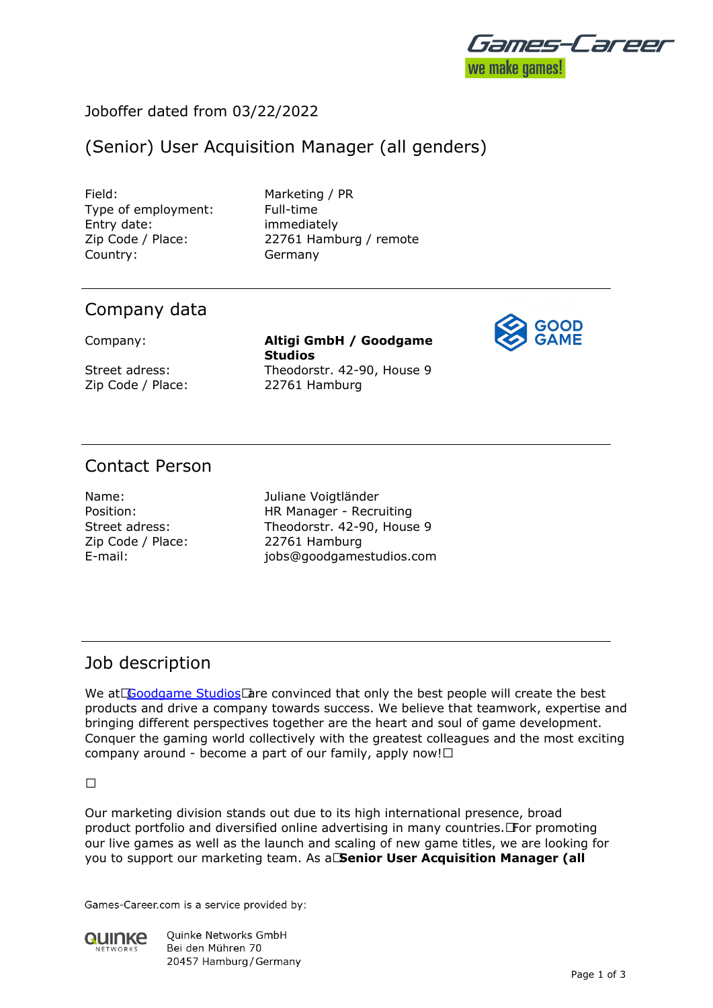

#### Joboffer dated from 03/22/2022

## (Senior) User Acquisition Manager (all genders)

Field: Marketing / PR Type of employment: Full-time Entry date: immediately Country: Germany

Zip Code / Place: 22761 Hamburg / remote

#### Company data

Zip Code / Place: 22761 Hamburg

Company: **Altigi GmbH / Goodgame Studios** Street adress: Theodorstr. 42-90, House 9



### Contact Person

Zip Code / Place: 22761 Hamburg

Name: Juliane Voigtländer Position: HR Manager - Recruiting Street adress: Theodorstr. 42-90, House 9 E-mail: jobs@goodgamestudios.com

#### Job description

We at [Goodgame Studios](https://jobs.goodgamestudios.com/en/) are convinced that only the best people will create the best products and drive a company towards success. We believe that teamwork, expertise and bringing different perspectives together are the heart and soul of game development. Conquer the gaming world collectively with the greatest colleagues and the most exciting company around - become a part of our family, apply now! $\square$ 

 $\Box$ 

Our marketing division stands out due to its high international presence, broad product portfolio and diversified online advertising in many countries. For promoting our live games as well as the launch and scaling of new game titles, we are looking for you to support our marketing team. As a **Senior User Acquisition Manager (all**

Games-Career.com is a service provided by:



**Ouinke Networks GmbH** Bei den Mühren 70 20457 Hamburg / Germany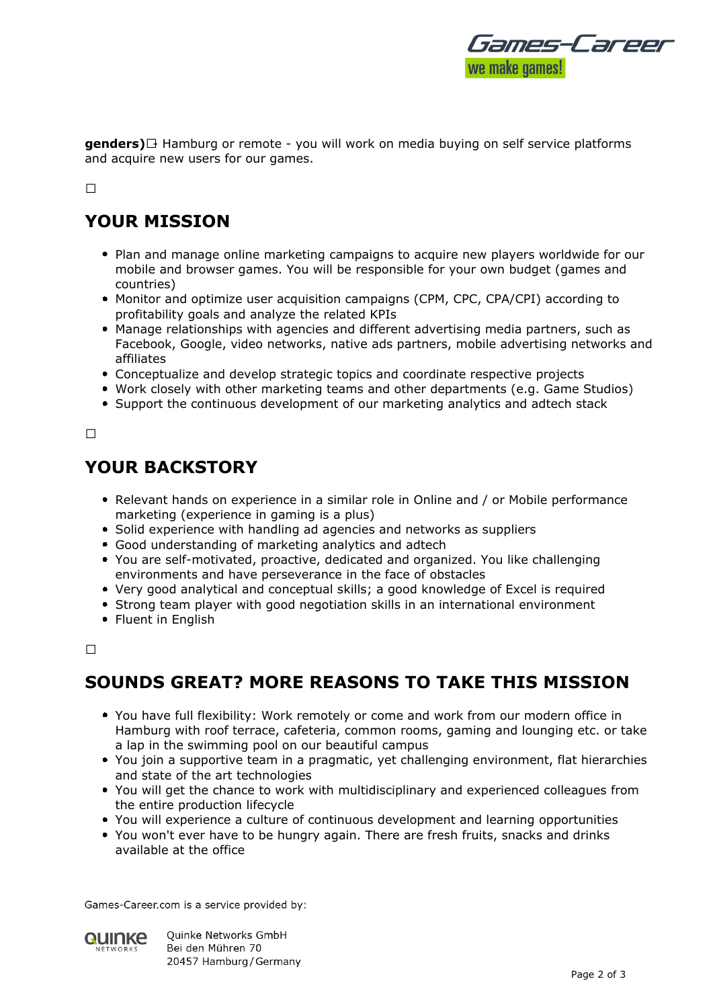

**genders)** Hamburg or remote - you will work on media buying on self service platforms and acquire new users for our games.

 $\Box$ 

## **YOUR MISSION**

- Plan and manage online marketing campaigns to acquire new players worldwide for our mobile and browser games. You will be responsible for your own budget (games and countries)
- Monitor and optimize user acquisition campaigns (CPM, CPC, CPA/CPI) according to profitability goals and analyze the related KPIs
- Manage relationships with agencies and different advertising media partners, such as Facebook, Google, video networks, native ads partners, mobile advertising networks and affiliates
- Conceptualize and develop strategic topics and coordinate respective projects
- Work closely with other marketing teams and other departments (e.g. Game Studios)
- Support the continuous development of our marketing analytics and adtech stack

 $\Box$ 

## **YOUR BACKSTORY**

- Relevant hands on experience in a similar role in Online and / or Mobile performance marketing (experience in gaming is a plus)
- Solid experience with handling ad agencies and networks as suppliers
- Good understanding of marketing analytics and adtech
- You are self-motivated, proactive, dedicated and organized. You like challenging environments and have perseverance in the face of obstacles
- Very good analytical and conceptual skills; a good knowledge of Excel is required
- Strong team player with good negotiation skills in an international environment
- Fluent in English

#### $\Box$

## **SOUNDS GREAT? MORE REASONS TO TAKE THIS MISSION**

- You have full flexibility: Work remotely or come and work from our modern office in Hamburg with roof terrace, cafeteria, common rooms, gaming and lounging etc. or take a lap in the swimming pool on our beautiful campus
- You join a supportive team in a pragmatic, yet challenging environment, flat hierarchies and state of the art technologies
- You will get the chance to work with multidisciplinary and experienced colleagues from the entire production lifecycle
- You will experience a culture of continuous development and learning opportunities
- You won't ever have to be hungry again. There are fresh fruits, snacks and drinks available at the office

Games-Career.com is a service provided by:



**Ouinke Networks GmbH** Bei den Mühren 70 20457 Hamburg / Germany